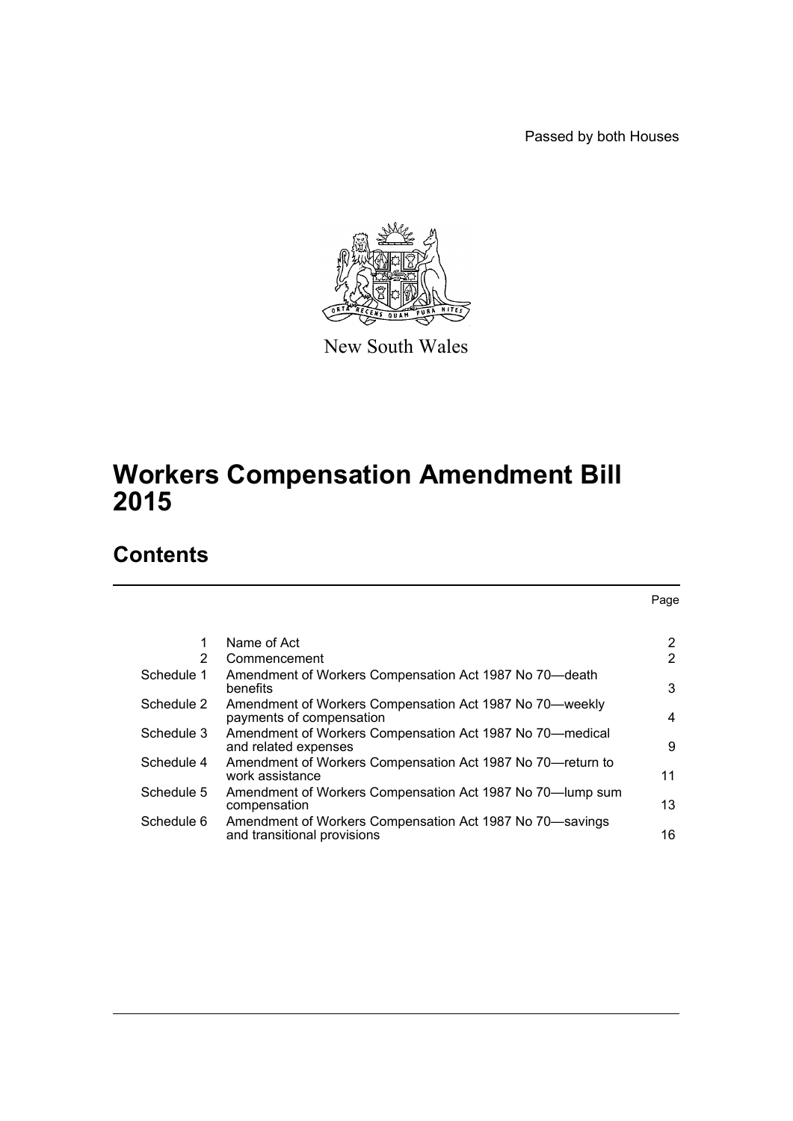Passed by both Houses

Page



New South Wales

# **Workers Compensation Amendment Bill 2015**

# **Contents**

|            | Name of Act                                                                             | 2              |
|------------|-----------------------------------------------------------------------------------------|----------------|
| 2          | Commencement                                                                            | $\overline{2}$ |
| Schedule 1 | Amendment of Workers Compensation Act 1987 No 70-death<br>benefits                      | 3              |
| Schedule 2 | Amendment of Workers Compensation Act 1987 No 70-weekly<br>payments of compensation     | 4              |
| Schedule 3 | Amendment of Workers Compensation Act 1987 No 70—medical<br>and related expenses        | 9              |
| Schedule 4 | Amendment of Workers Compensation Act 1987 No 70-return to<br>work assistance           | 11             |
| Schedule 5 | Amendment of Workers Compensation Act 1987 No 70-lump sum<br>compensation               | 13             |
| Schedule 6 | Amendment of Workers Compensation Act 1987 No 70-savings<br>and transitional provisions | 16             |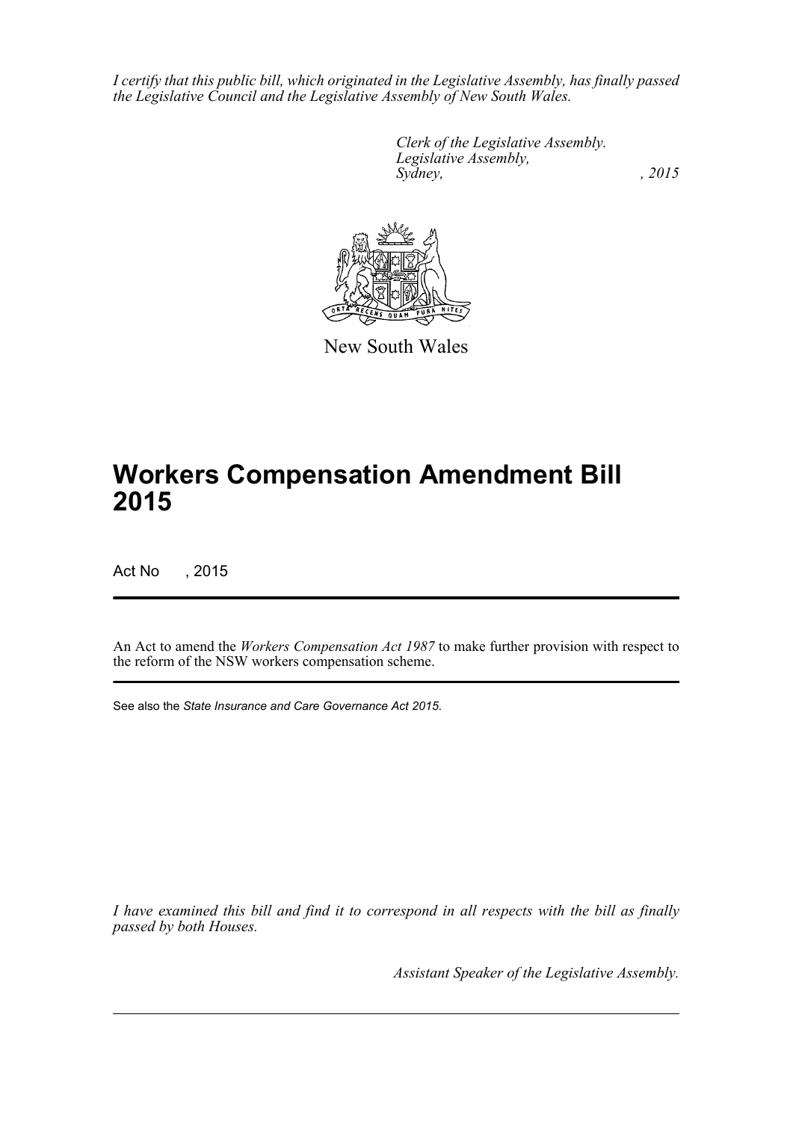*I certify that this public bill, which originated in the Legislative Assembly, has finally passed the Legislative Council and the Legislative Assembly of New South Wales.*

> *Clerk of the Legislative Assembly. Legislative Assembly, Sydney,* , 2015



New South Wales

# **Workers Compensation Amendment Bill 2015**

Act No , 2015

An Act to amend the *Workers Compensation Act 1987* to make further provision with respect to the reform of the NSW workers compensation scheme.

See also the *State Insurance and Care Governance Act 2015*.

*I have examined this bill and find it to correspond in all respects with the bill as finally passed by both Houses.*

*Assistant Speaker of the Legislative Assembly.*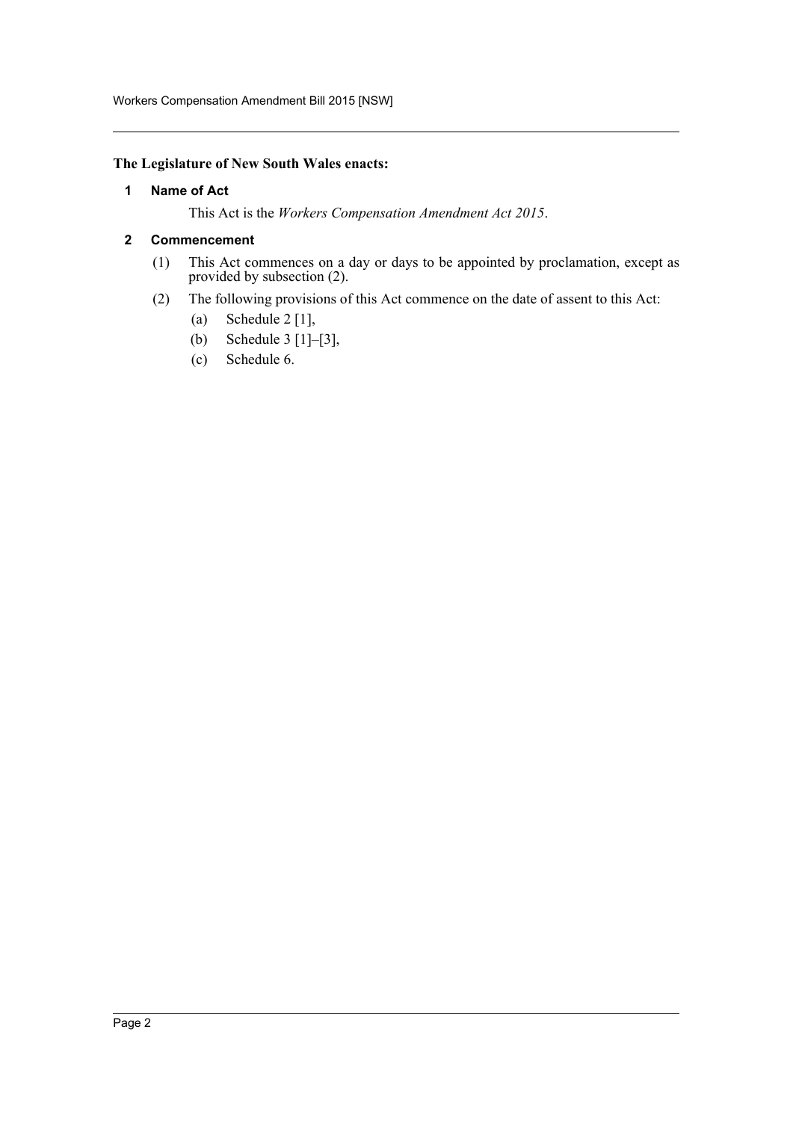# <span id="page-2-0"></span>**The Legislature of New South Wales enacts:**

#### **1 Name of Act**

This Act is the *Workers Compensation Amendment Act 2015*.

#### <span id="page-2-1"></span>**2 Commencement**

- (1) This Act commences on a day or days to be appointed by proclamation, except as provided by subsection (2).
- (2) The following provisions of this Act commence on the date of assent to this Act:
	- (a) Schedule 2 [1],
	- (b) Schedule 3 [1]–[3],
	- (c) Schedule 6.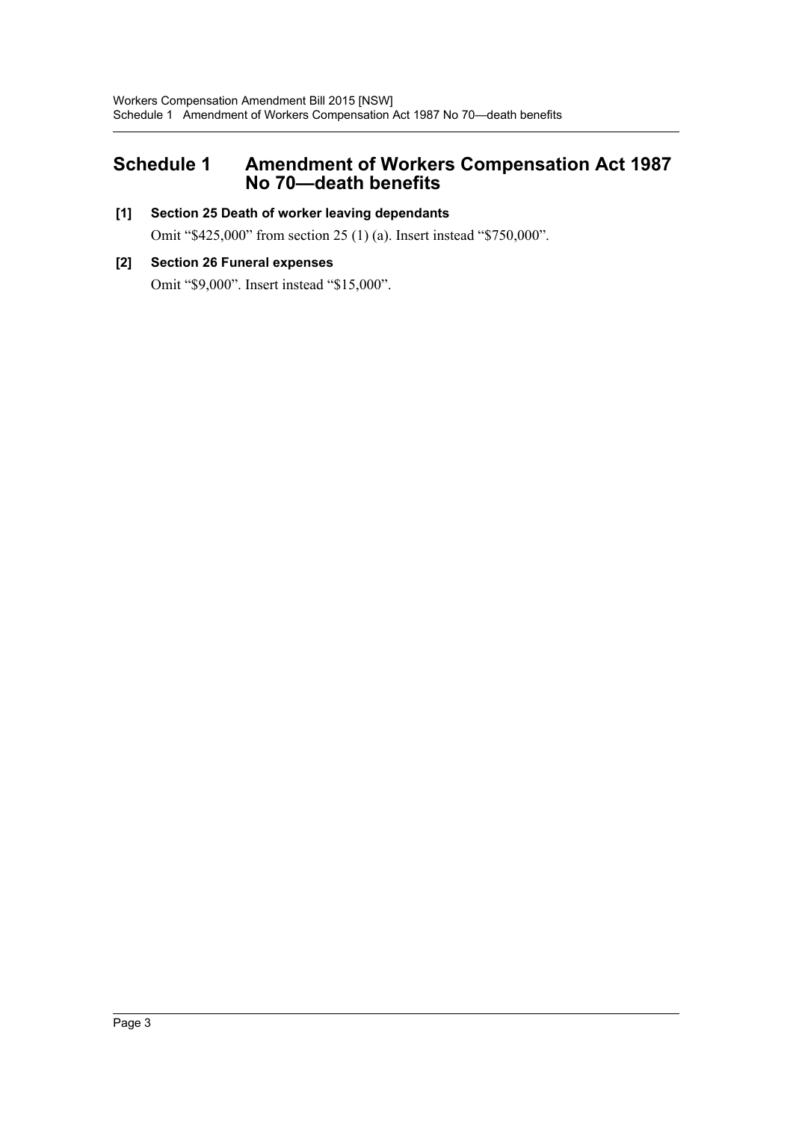# <span id="page-3-0"></span>**Schedule 1 Amendment of Workers Compensation Act 1987 No 70—death benefits**

# **[1] Section 25 Death of worker leaving dependants**

Omit "\$425,000" from section 25 (1) (a). Insert instead "\$750,000".

# **[2] Section 26 Funeral expenses** Omit "\$9,000". Insert instead "\$15,000".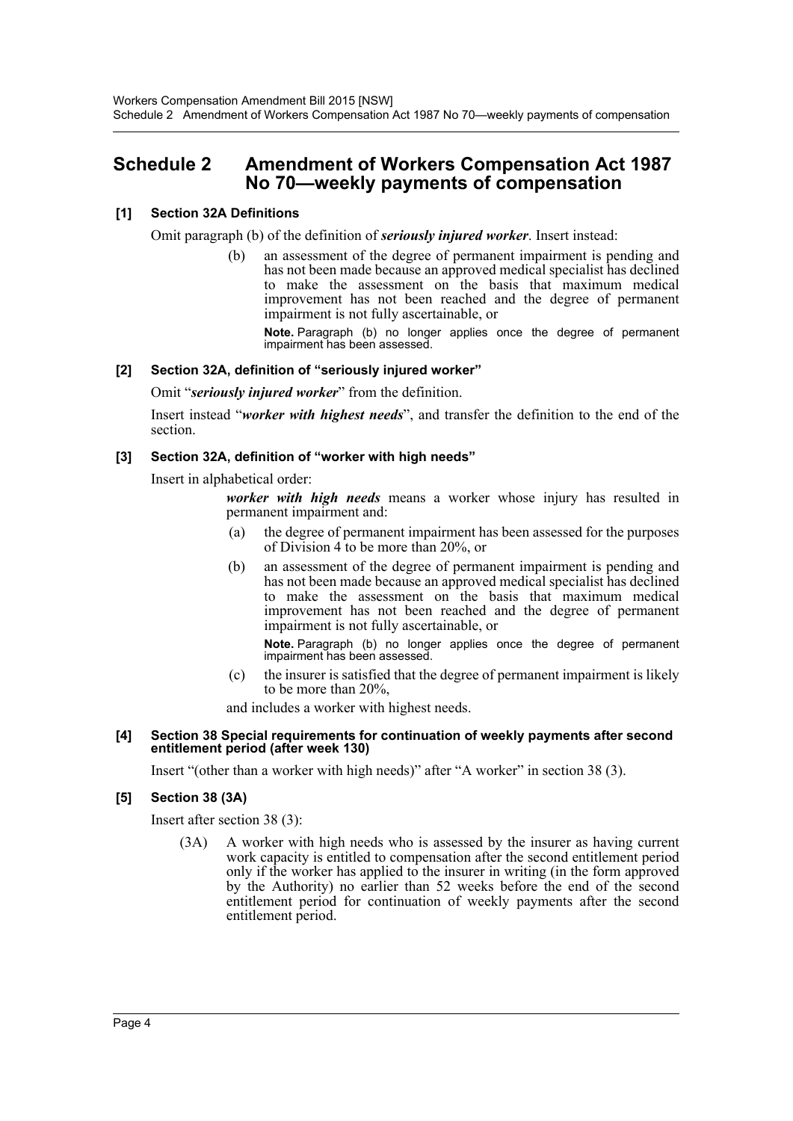# <span id="page-4-0"></span>**Schedule 2 Amendment of Workers Compensation Act 1987 No 70—weekly payments of compensation**

# **[1] Section 32A Definitions**

Omit paragraph (b) of the definition of *seriously injured worker*. Insert instead:

(b) an assessment of the degree of permanent impairment is pending and has not been made because an approved medical specialist has declined to make the assessment on the basis that maximum medical improvement has not been reached and the degree of permanent impairment is not fully ascertainable, or

**Note.** Paragraph (b) no longer applies once the degree of permanent impairment has been assessed.

#### **[2] Section 32A, definition of "seriously injured worker"**

Omit "*seriously injured worker*" from the definition.

Insert instead "*worker with highest needs*", and transfer the definition to the end of the section.

#### **[3] Section 32A, definition of "worker with high needs"**

Insert in alphabetical order:

*worker with high needs* means a worker whose injury has resulted in permanent impairment and:

- (a) the degree of permanent impairment has been assessed for the purposes of Division 4 to be more than 20%, or
- (b) an assessment of the degree of permanent impairment is pending and has not been made because an approved medical specialist has declined to make the assessment on the basis that maximum medical improvement has not been reached and the degree of permanent impairment is not fully ascertainable, or

**Note.** Paragraph (b) no longer applies once the degree of permanent impairment has been assessed.

(c) the insurer is satisfied that the degree of permanent impairment is likely to be more than 20%,

and includes a worker with highest needs.

#### **[4] Section 38 Special requirements for continuation of weekly payments after second entitlement period (after week 130)**

Insert "(other than a worker with high needs)" after "A worker" in section 38 (3).

## **[5] Section 38 (3A)**

Insert after section 38 (3):

(3A) A worker with high needs who is assessed by the insurer as having current work capacity is entitled to compensation after the second entitlement period only if the worker has applied to the insurer in writing (in the form approved by the Authority) no earlier than 52 weeks before the end of the second entitlement period for continuation of weekly payments after the second entitlement period.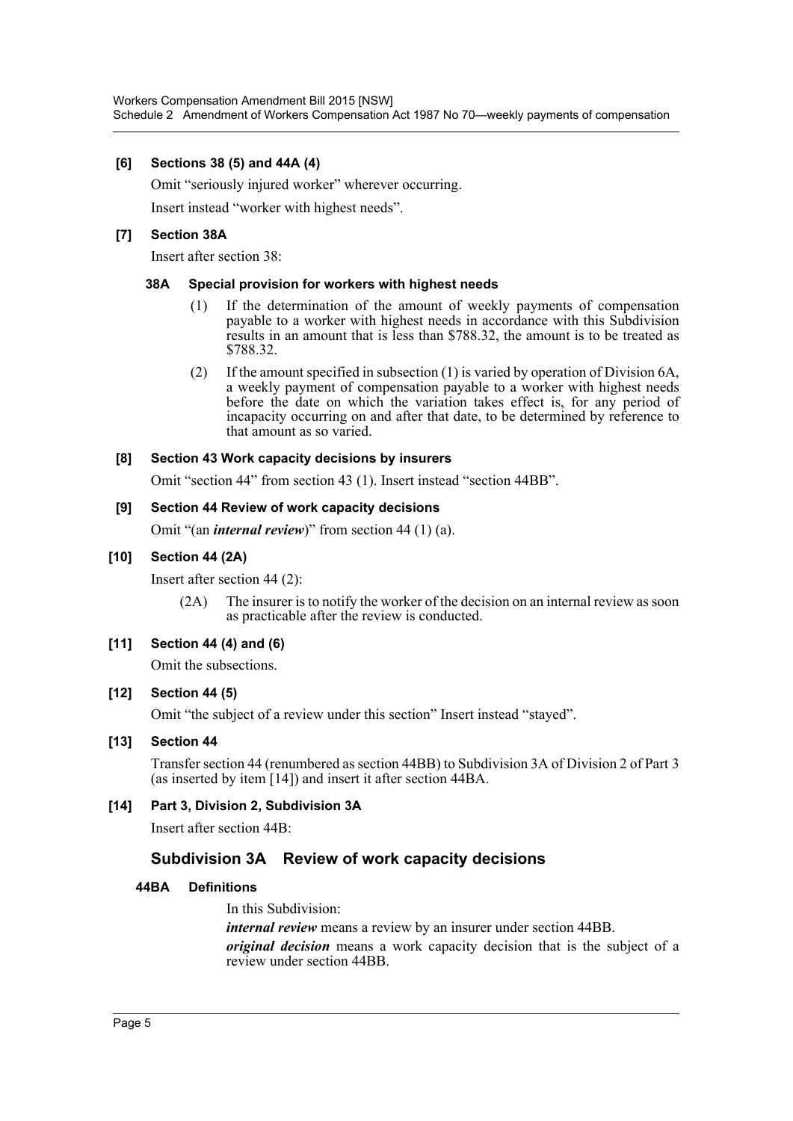### **[6] Sections 38 (5) and 44A (4)**

Omit "seriously injured worker" wherever occurring.

Insert instead "worker with highest needs".

#### **[7] Section 38A**

Insert after section 38:

#### **38A Special provision for workers with highest needs**

- (1) If the determination of the amount of weekly payments of compensation payable to a worker with highest needs in accordance with this Subdivision results in an amount that is less than \$788.32, the amount is to be treated as \$788.32.
- (2) If the amount specified in subsection (1) is varied by operation of Division 6A, a weekly payment of compensation payable to a worker with highest needs before the date on which the variation takes effect is, for any period of incapacity occurring on and after that date, to be determined by reference to that amount as so varied.

#### **[8] Section 43 Work capacity decisions by insurers**

Omit "section 44" from section 43 (1). Insert instead "section 44BB".

#### **[9] Section 44 Review of work capacity decisions**

Omit "(an *internal review*)" from section 44 (1) (a).

#### **[10] Section 44 (2A)**

Insert after section 44 (2):

(2A) The insurer is to notify the worker of the decision on an internal review as soon as practicable after the review is conducted.

#### **[11] Section 44 (4) and (6)**

Omit the subsections.

#### **[12] Section 44 (5)**

Omit "the subject of a review under this section" Insert instead "stayed".

#### **[13] Section 44**

Transfer section 44 (renumbered as section 44BB) to Subdivision 3A of Division 2 of Part 3 (as inserted by item [14]) and insert it after section 44BA.

## **[14] Part 3, Division 2, Subdivision 3A**

Insert after section 44B:

# **Subdivision 3A Review of work capacity decisions**

#### **44BA Definitions**

In this Subdivision: *internal review* means a review by an insurer under section 44BB. *original decision* means a work capacity decision that is the subject of a review under section 44BB.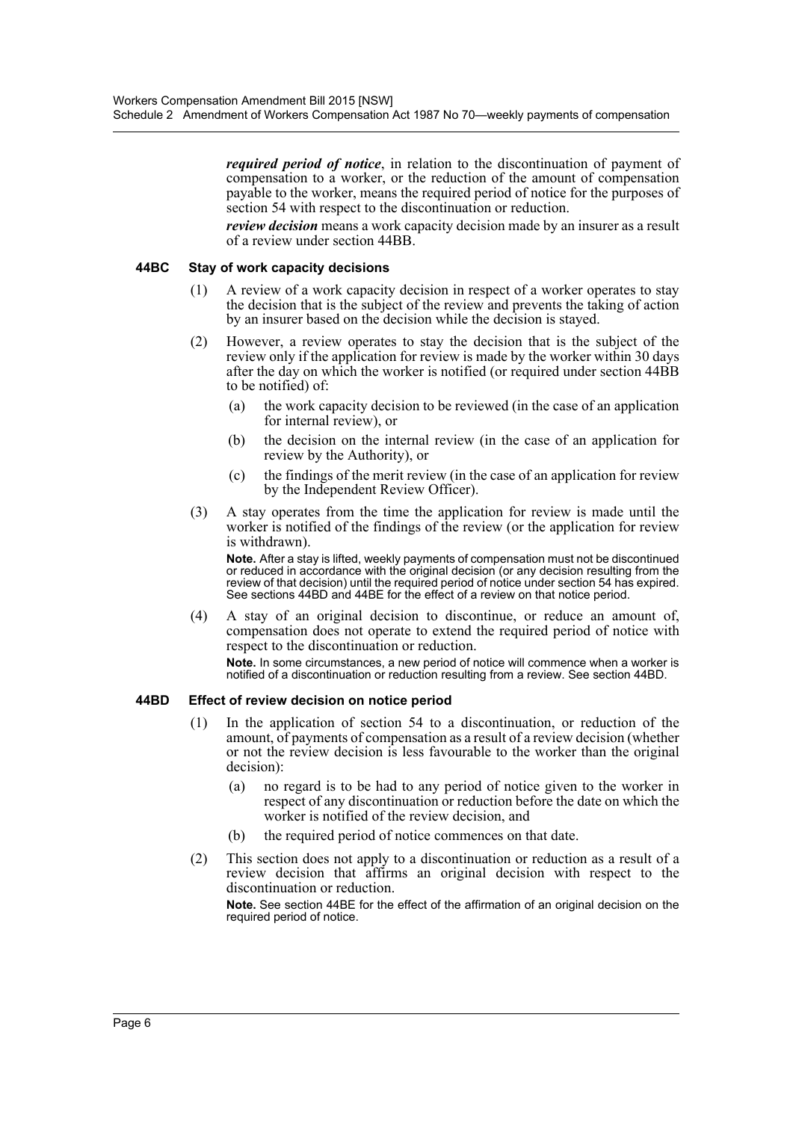*required period of notice*, in relation to the discontinuation of payment of compensation to a worker, or the reduction of the amount of compensation payable to the worker, means the required period of notice for the purposes of section 54 with respect to the discontinuation or reduction.

*review decision* means a work capacity decision made by an insurer as a result of a review under section 44BB.

#### **44BC Stay of work capacity decisions**

- (1) A review of a work capacity decision in respect of a worker operates to stay the decision that is the subject of the review and prevents the taking of action by an insurer based on the decision while the decision is stayed.
- (2) However, a review operates to stay the decision that is the subject of the review only if the application for review is made by the worker within 30 days after the day on which the worker is notified (or required under section 44BB to be notified) of:
	- (a) the work capacity decision to be reviewed (in the case of an application for internal review), or
	- (b) the decision on the internal review (in the case of an application for review by the Authority), or
	- (c) the findings of the merit review (in the case of an application for review by the Independent Review Officer).
- (3) A stay operates from the time the application for review is made until the worker is notified of the findings of the review (or the application for review is withdrawn).

**Note.** After a stay is lifted, weekly payments of compensation must not be discontinued or reduced in accordance with the original decision (or any decision resulting from the review of that decision) until the required period of notice under section 54 has expired. See sections 44BD and 44BE for the effect of a review on that notice period.

(4) A stay of an original decision to discontinue, or reduce an amount of, compensation does not operate to extend the required period of notice with respect to the discontinuation or reduction.

**Note.** In some circumstances, a new period of notice will commence when a worker is notified of a discontinuation or reduction resulting from a review. See section 44BD.

#### **44BD Effect of review decision on notice period**

- (1) In the application of section 54 to a discontinuation, or reduction of the amount, of payments of compensation as a result of a review decision (whether or not the review decision is less favourable to the worker than the original decision):
	- (a) no regard is to be had to any period of notice given to the worker in respect of any discontinuation or reduction before the date on which the worker is notified of the review decision, and
	- (b) the required period of notice commences on that date.
- (2) This section does not apply to a discontinuation or reduction as a result of a review decision that affirms an original decision with respect to the discontinuation or reduction.

**Note.** See section 44BE for the effect of the affirmation of an original decision on the required period of notice.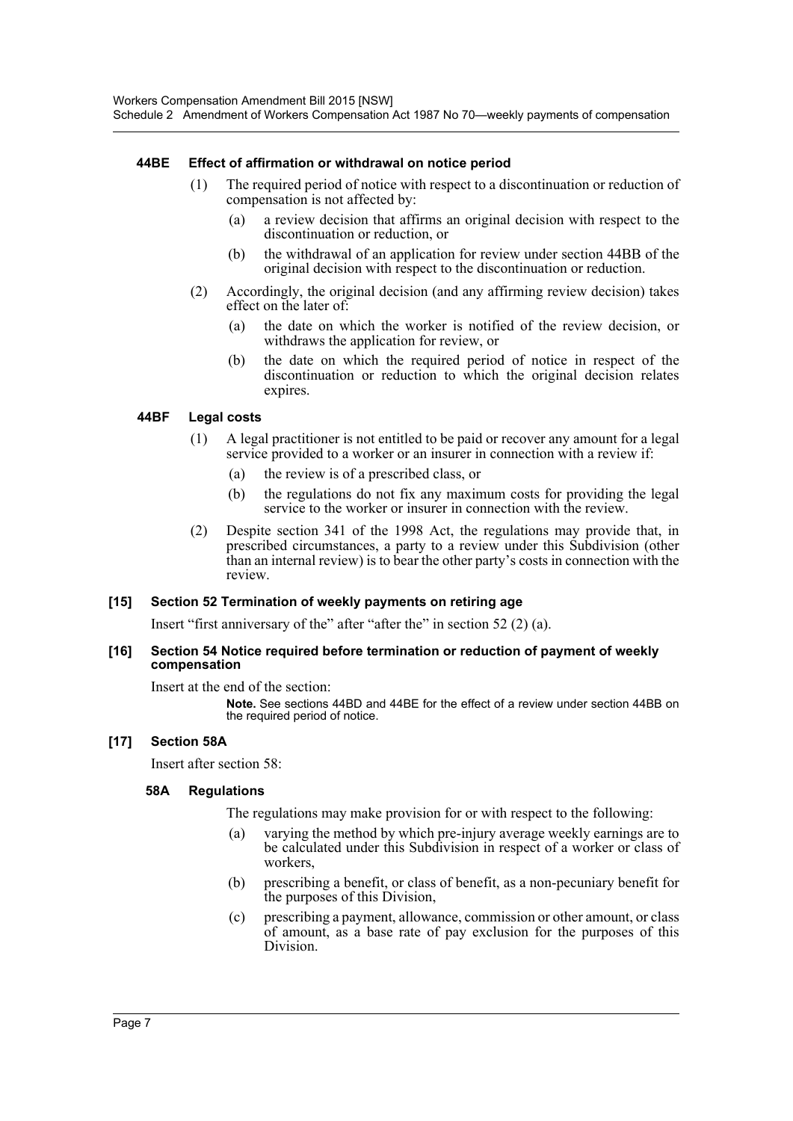#### **44BE Effect of affirmation or withdrawal on notice period**

- (1) The required period of notice with respect to a discontinuation or reduction of compensation is not affected by:
	- (a) a review decision that affirms an original decision with respect to the discontinuation or reduction, or
	- (b) the withdrawal of an application for review under section 44BB of the original decision with respect to the discontinuation or reduction.
- (2) Accordingly, the original decision (and any affirming review decision) takes effect on the later of:
	- (a) the date on which the worker is notified of the review decision, or withdraws the application for review, or
	- (b) the date on which the required period of notice in respect of the discontinuation or reduction to which the original decision relates expires.

#### **44BF Legal costs**

- (1) A legal practitioner is not entitled to be paid or recover any amount for a legal service provided to a worker or an insurer in connection with a review if:
	- (a) the review is of a prescribed class, or
	- (b) the regulations do not fix any maximum costs for providing the legal service to the worker or insurer in connection with the review.
- (2) Despite section 341 of the 1998 Act, the regulations may provide that, in prescribed circumstances, a party to a review under this Subdivision (other than an internal review) is to bear the other party's costs in connection with the review.

#### **[15] Section 52 Termination of weekly payments on retiring age**

Insert "first anniversary of the" after "after the" in section 52 (2) (a).

#### **[16] Section 54 Notice required before termination or reduction of payment of weekly compensation**

Insert at the end of the section:

**Note.** See sections 44BD and 44BE for the effect of a review under section 44BB on the required period of notice.

#### **[17] Section 58A**

Insert after section 58:

#### **58A Regulations**

The regulations may make provision for or with respect to the following:

- (a) varying the method by which pre-injury average weekly earnings are to be calculated under this Subdivision in respect of a worker or class of workers,
- (b) prescribing a benefit, or class of benefit, as a non-pecuniary benefit for the purposes of this Division,
- (c) prescribing a payment, allowance, commission or other amount, or class of amount, as a base rate of pay exclusion for the purposes of this Division.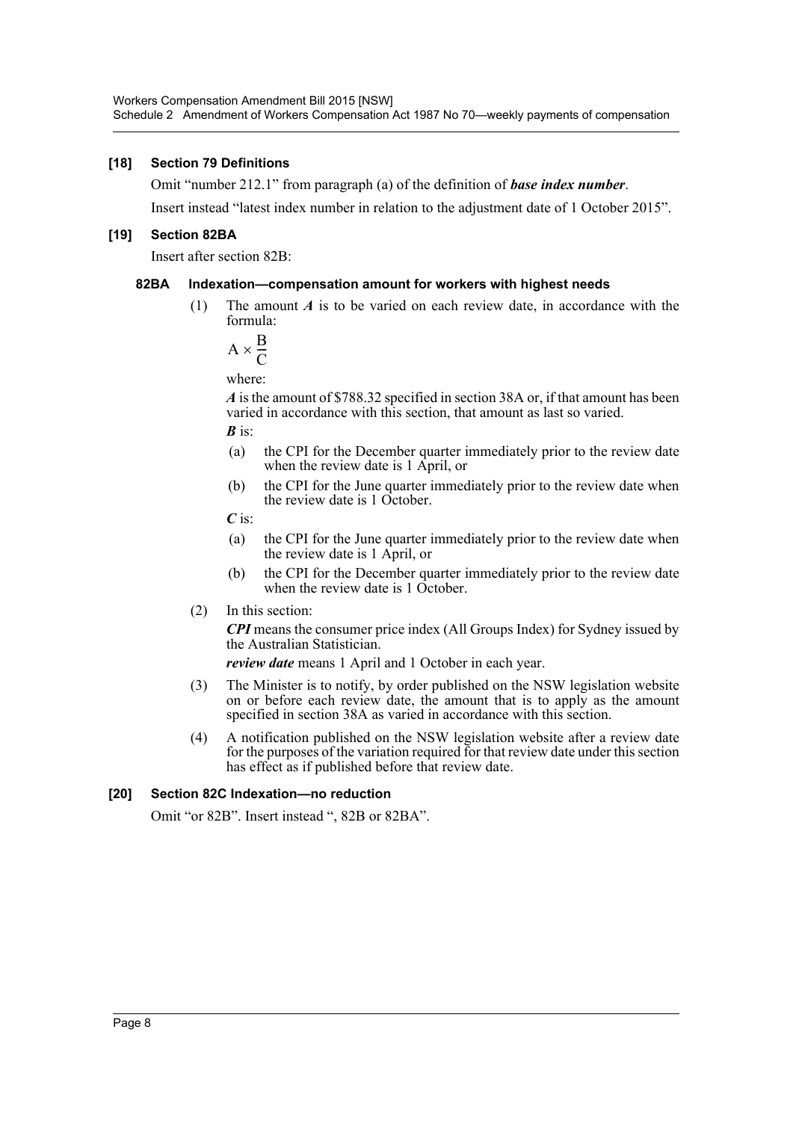#### **[18] Section 79 Definitions**

Omit "number 212.1" from paragraph (a) of the definition of *base index number*.

Insert instead "latest index number in relation to the adjustment date of 1 October 2015".

#### **[19] Section 82BA**

Insert after section 82B:

#### **82BA Indexation—compensation amount for workers with highest needs**

(1) The amount *A* is to be varied on each review date, in accordance with the formula:

$$
A \times \frac{B}{C}
$$

where:

*A* is the amount of \$788.32 specified in section 38A or, if that amount has been varied in accordance with this section, that amount as last so varied.

*B* is:

- (a) the CPI for the December quarter immediately prior to the review date when the review date is 1 April, or
- (b) the CPI for the June quarter immediately prior to the review date when the review date is 1 October.

*C* is:

- (a) the CPI for the June quarter immediately prior to the review date when the review date is 1 April, or
- (b) the CPI for the December quarter immediately prior to the review date when the review date is 1 October.
- (2) In this section:

*CPI* means the consumer price index (All Groups Index) for Sydney issued by the Australian Statistician.

*review date* means 1 April and 1 October in each year.

- (3) The Minister is to notify, by order published on the NSW legislation website on or before each review date, the amount that is to apply as the amount specified in section 38A as varied in accordance with this section.
- (4) A notification published on the NSW legislation website after a review date for the purposes of the variation required for that review date under this section has effect as if published before that review date.

#### **[20] Section 82C Indexation—no reduction**

Omit "or 82B". Insert instead ", 82B or 82BA".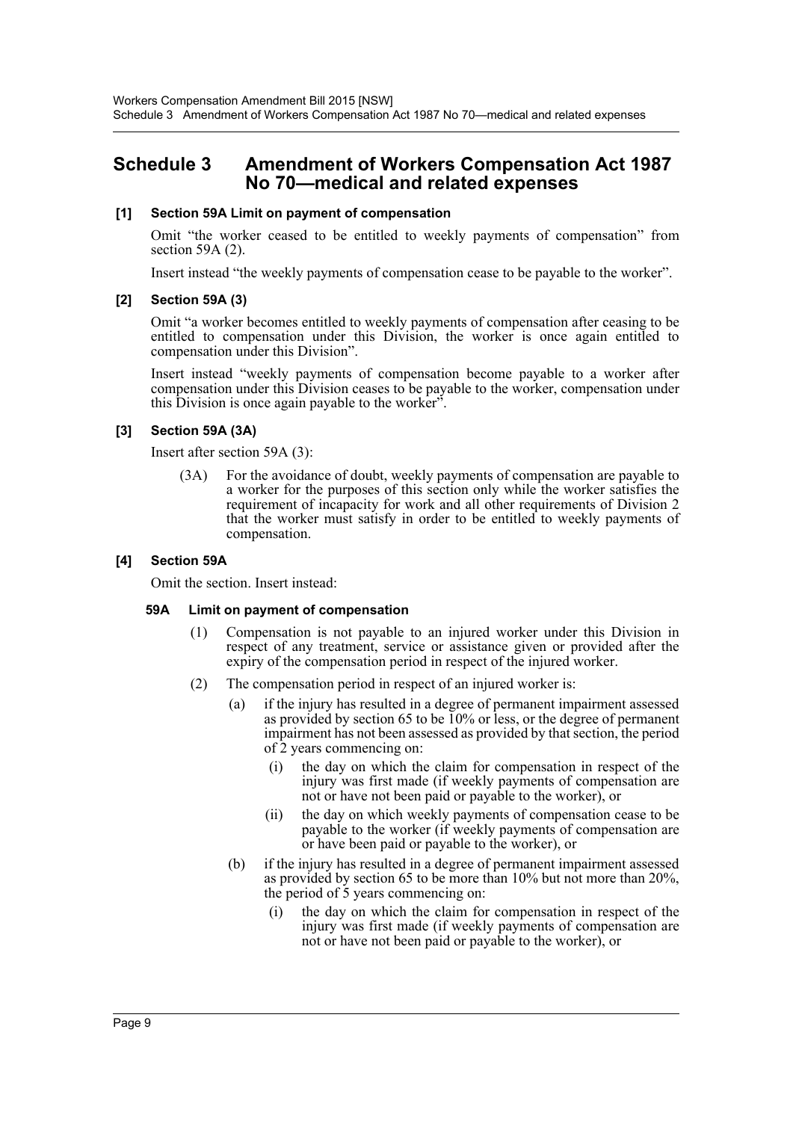# <span id="page-9-0"></span>**Schedule 3 Amendment of Workers Compensation Act 1987 No 70—medical and related expenses**

#### **[1] Section 59A Limit on payment of compensation**

Omit "the worker ceased to be entitled to weekly payments of compensation" from section 59A (2).

Insert instead "the weekly payments of compensation cease to be payable to the worker".

#### **[2] Section 59A (3)**

Omit "a worker becomes entitled to weekly payments of compensation after ceasing to be entitled to compensation under this Division, the worker is once again entitled to compensation under this Division".

Insert instead "weekly payments of compensation become payable to a worker after compensation under this Division ceases to be payable to the worker, compensation under this Division is once again payable to the worker".

## **[3] Section 59A (3A)**

Insert after section 59A (3):

(3A) For the avoidance of doubt, weekly payments of compensation are payable to a worker for the purposes of this section only while the worker satisfies the requirement of incapacity for work and all other requirements of Division 2 that the worker must satisfy in order to be entitled to weekly payments of compensation.

#### **[4] Section 59A**

Omit the section. Insert instead:

#### **59A Limit on payment of compensation**

- (1) Compensation is not payable to an injured worker under this Division in respect of any treatment, service or assistance given or provided after the expiry of the compensation period in respect of the injured worker.
- (2) The compensation period in respect of an injured worker is:
	- (a) if the injury has resulted in a degree of permanent impairment assessed as provided by section 65 to be 10% or less, or the degree of permanent impairment has not been assessed as provided by that section, the period of 2 years commencing on:
		- (i) the day on which the claim for compensation in respect of the injury was first made (if weekly payments of compensation are not or have not been paid or payable to the worker), or
		- (ii) the day on which weekly payments of compensation cease to be payable to the worker (if weekly payments of compensation are or have been paid or payable to the worker), or
	- (b) if the injury has resulted in a degree of permanent impairment assessed as provided by section 65 to be more than 10% but not more than 20%, the period of 5 years commencing on:
		- (i) the day on which the claim for compensation in respect of the injury was first made (if weekly payments of compensation are not or have not been paid or payable to the worker), or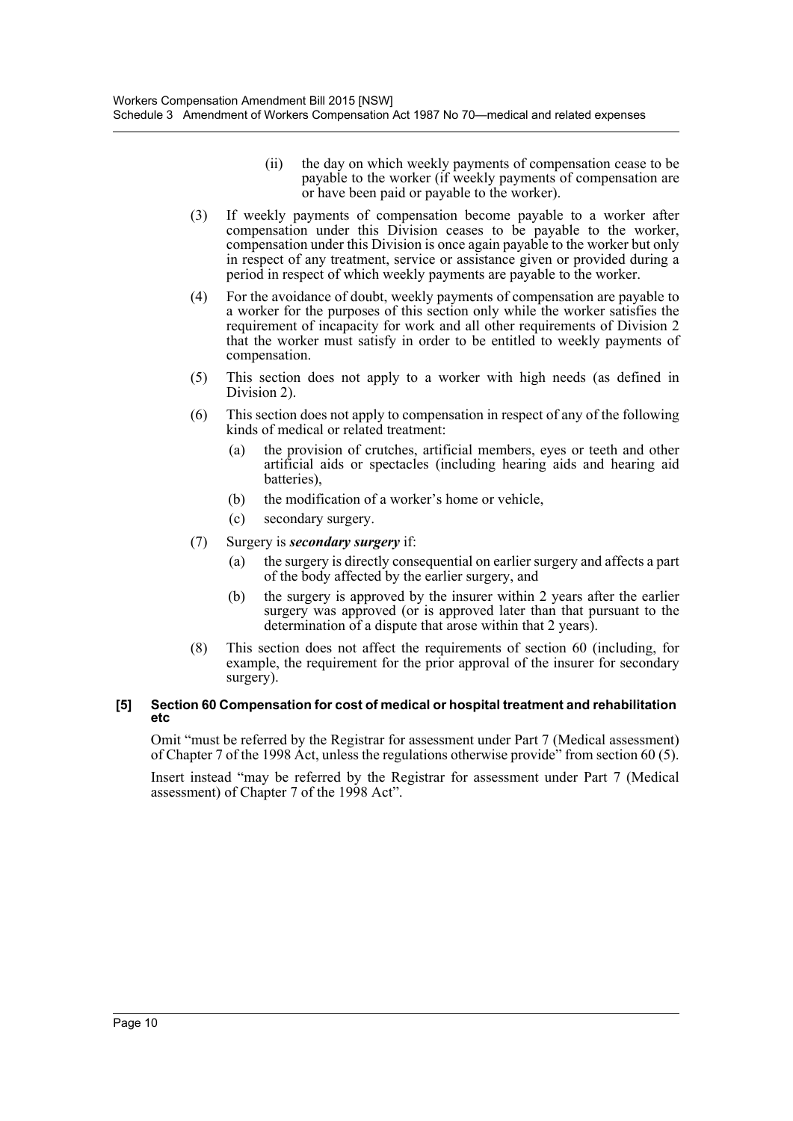- (ii) the day on which weekly payments of compensation cease to be payable to the worker (if weekly payments of compensation are or have been paid or payable to the worker).
- (3) If weekly payments of compensation become payable to a worker after compensation under this Division ceases to be payable to the worker, compensation under this Division is once again payable to the worker but only in respect of any treatment, service or assistance given or provided during a period in respect of which weekly payments are payable to the worker.
- (4) For the avoidance of doubt, weekly payments of compensation are payable to a worker for the purposes of this section only while the worker satisfies the requirement of incapacity for work and all other requirements of Division 2 that the worker must satisfy in order to be entitled to weekly payments of compensation.
- (5) This section does not apply to a worker with high needs (as defined in Division 2).
- (6) This section does not apply to compensation in respect of any of the following kinds of medical or related treatment:
	- (a) the provision of crutches, artificial members, eyes or teeth and other artificial aids or spectacles (including hearing aids and hearing aid batteries),
	- (b) the modification of a worker's home or vehicle,
	- (c) secondary surgery.
- (7) Surgery is *secondary surgery* if:
	- (a) the surgery is directly consequential on earlier surgery and affects a part of the body affected by the earlier surgery, and
	- (b) the surgery is approved by the insurer within 2 years after the earlier surgery was approved (or is approved later than that pursuant to the determination of a dispute that arose within that 2 years).
- (8) This section does not affect the requirements of section 60 (including, for example, the requirement for the prior approval of the insurer for secondary surgery).

#### **[5] Section 60 Compensation for cost of medical or hospital treatment and rehabilitation etc**

Omit "must be referred by the Registrar for assessment under Part 7 (Medical assessment) of Chapter 7 of the 1998 Act, unless the regulations otherwise provide" from section 60 (5).

Insert instead "may be referred by the Registrar for assessment under Part 7 (Medical assessment) of Chapter 7 of the 1998 Act".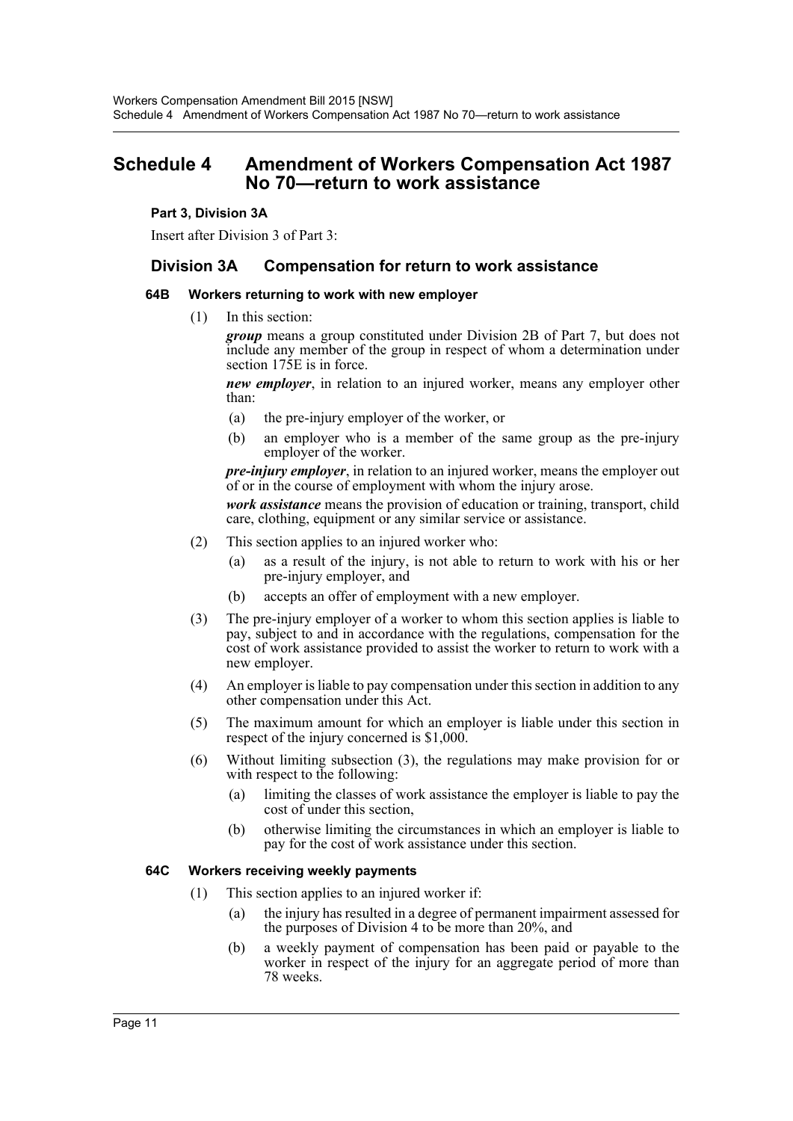# <span id="page-11-0"></span>**Schedule 4 Amendment of Workers Compensation Act 1987 No 70—return to work assistance**

#### **Part 3, Division 3A**

Insert after Division 3 of Part 3:

# **Division 3A Compensation for return to work assistance**

#### **64B Workers returning to work with new employer**

(1) In this section:

*group* means a group constituted under Division 2B of Part 7, but does not include any member of the group in respect of whom a determination under section 175E is in force.

*new employer*, in relation to an injured worker, means any employer other than:

- (a) the pre-injury employer of the worker, or
- (b) an employer who is a member of the same group as the pre-injury employer of the worker.

*pre-injury employer*, in relation to an injured worker, means the employer out of or in the course of employment with whom the injury arose.

*work assistance* means the provision of education or training, transport, child care, clothing, equipment or any similar service or assistance.

- (2) This section applies to an injured worker who:
	- (a) as a result of the injury, is not able to return to work with his or her pre-injury employer, and
	- (b) accepts an offer of employment with a new employer.
- (3) The pre-injury employer of a worker to whom this section applies is liable to pay, subject to and in accordance with the regulations, compensation for the cost of work assistance provided to assist the worker to return to work with a new employer.
- (4) An employer is liable to pay compensation under this section in addition to any other compensation under this Act.
- (5) The maximum amount for which an employer is liable under this section in respect of the injury concerned is \$1,000.
- (6) Without limiting subsection (3), the regulations may make provision for or with respect to the following:
	- (a) limiting the classes of work assistance the employer is liable to pay the cost of under this section,
	- (b) otherwise limiting the circumstances in which an employer is liable to pay for the cost of work assistance under this section.

#### **64C Workers receiving weekly payments**

- (1) This section applies to an injured worker if:
	- (a) the injury has resulted in a degree of permanent impairment assessed for the purposes of Division 4 to be more than 20%, and
	- (b) a weekly payment of compensation has been paid or payable to the worker in respect of the injury for an aggregate period of more than 78 weeks.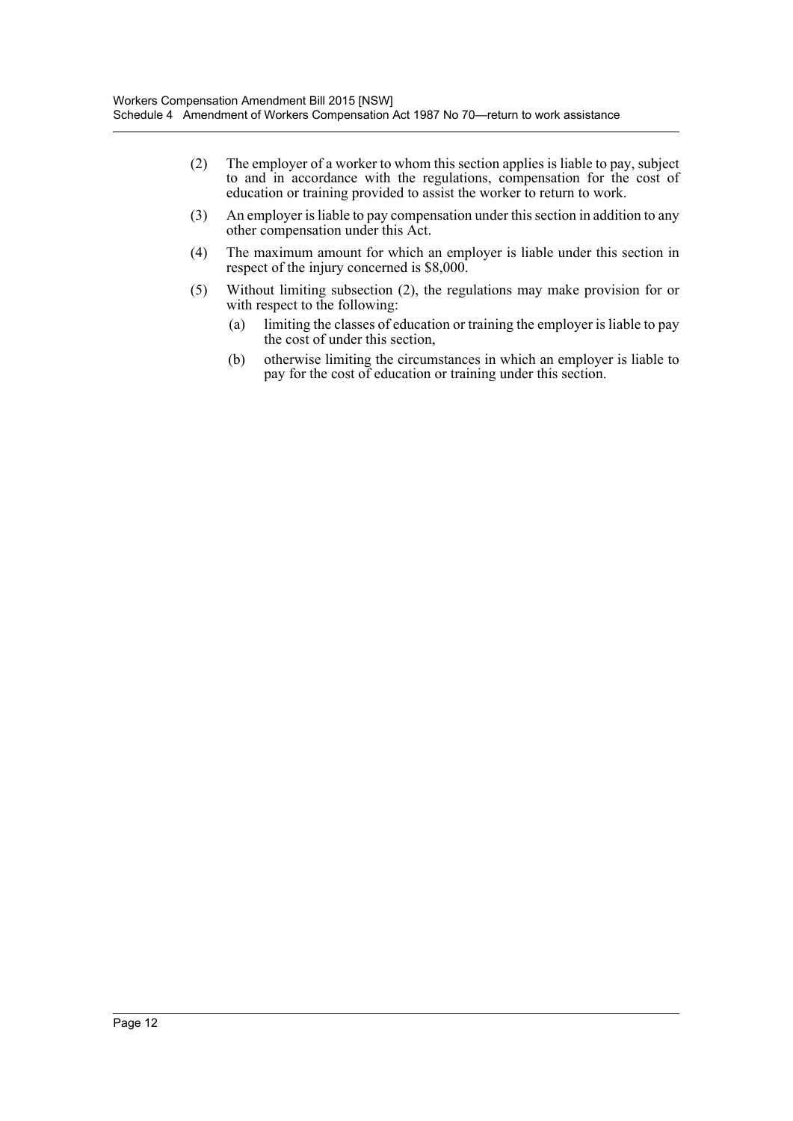- (2) The employer of a worker to whom this section applies is liable to pay, subject to and in accordance with the regulations, compensation for the cost of education or training provided to assist the worker to return to work.
- (3) An employer is liable to pay compensation under this section in addition to any other compensation under this Act.
- (4) The maximum amount for which an employer is liable under this section in respect of the injury concerned is \$8,000.
- (5) Without limiting subsection (2), the regulations may make provision for or with respect to the following:
	- (a) limiting the classes of education or training the employer is liable to pay the cost of under this section,
	- (b) otherwise limiting the circumstances in which an employer is liable to pay for the cost of education or training under this section.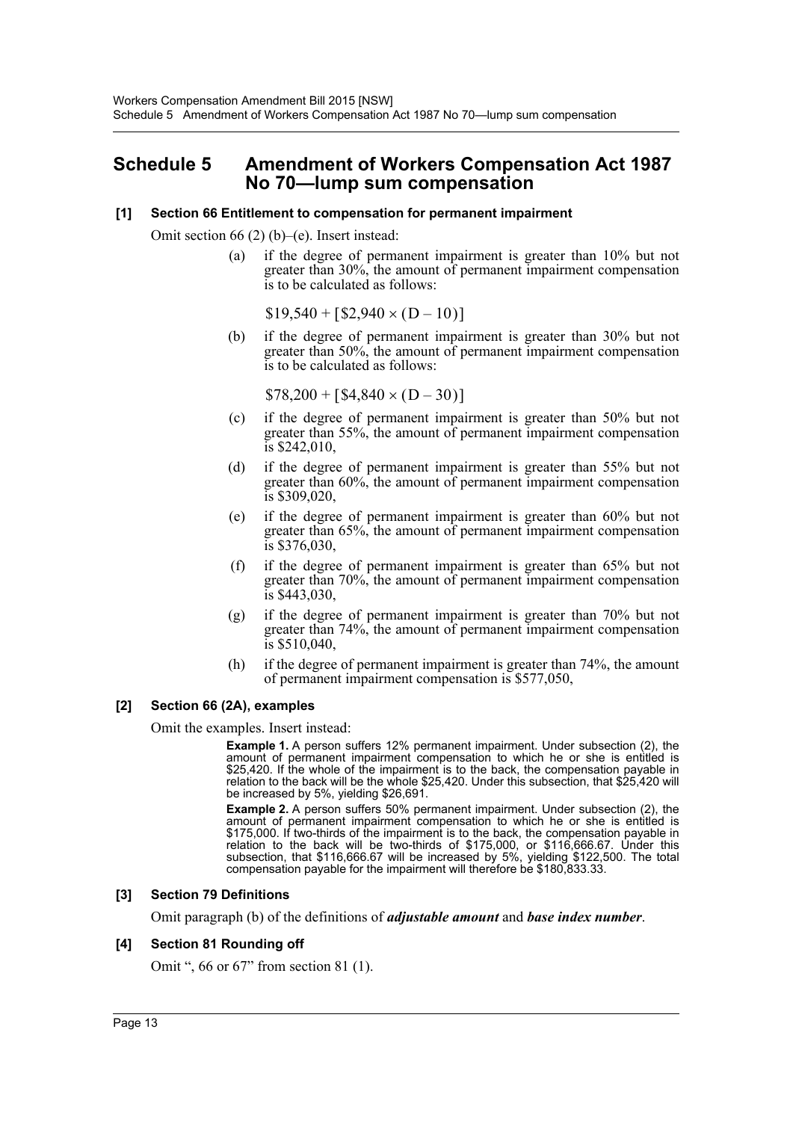# <span id="page-13-0"></span>**Schedule 5 Amendment of Workers Compensation Act 1987 No 70—lump sum compensation**

#### **[1] Section 66 Entitlement to compensation for permanent impairment**

Omit section 66 (2) (b)–(e). Insert instead:

(a) if the degree of permanent impairment is greater than 10% but not greater than 30%, the amount of permanent impairment compensation is to be calculated as follows:

 $$19,540 + [2,940 \times (D - 10)]$ 

(b) if the degree of permanent impairment is greater than 30% but not greater than 50%, the amount of permanent impairment compensation is to be calculated as follows:

 $$78,200 + [ $4,840 \times (D - 30) ]$ 

- (c) if the degree of permanent impairment is greater than 50% but not greater than 55%, the amount of permanent impairment compensation is \$242,010,
- (d) if the degree of permanent impairment is greater than 55% but not greater than 60%, the amount of permanent impairment compensation is \$309,020,
- (e) if the degree of permanent impairment is greater than 60% but not greater than 65%, the amount of permanent impairment compensation is \$376,030,
- (f) if the degree of permanent impairment is greater than 65% but not greater than 70%, the amount of permanent impairment compensation is \$443,030,
- (g) if the degree of permanent impairment is greater than 70% but not greater than 74%, the amount of permanent impairment compensation is \$510,040,
- (h) if the degree of permanent impairment is greater than 74%, the amount of permanent impairment compensation is \$577,050,

#### **[2] Section 66 (2A), examples**

Omit the examples. Insert instead:

**Example 1.** A person suffers 12% permanent impairment. Under subsection (2), the amount of permanent impairment compensation to which he or she is entitled is \$25,420. If the whole of the impairment is to the back, the compensation payable in relation to the back will be the whole \$25,420. Under this subsection, that \$25,420 will be increased by 5%, yielding \$26,691.

**Example 2.** A person suffers 50% permanent impairment. Under subsection (2), the amount of permanent impairment compensation to which he or she is entitled is \$175,000. If two-thirds of the impairment is to the back, the compensation payable in relation to the back will be two-thirds of \$175,000, or \$116,666.67. Under this subsection, that \$116,666.67 will be increased by 5%, yielding \$122,500. The total compensation payable for the impairment will therefore be \$180,833.33.

#### **[3] Section 79 Definitions**

Omit paragraph (b) of the definitions of *adjustable amount* and *base index number*.

#### **[4] Section 81 Rounding off**

Omit ", 66 or 67" from section 81 (1).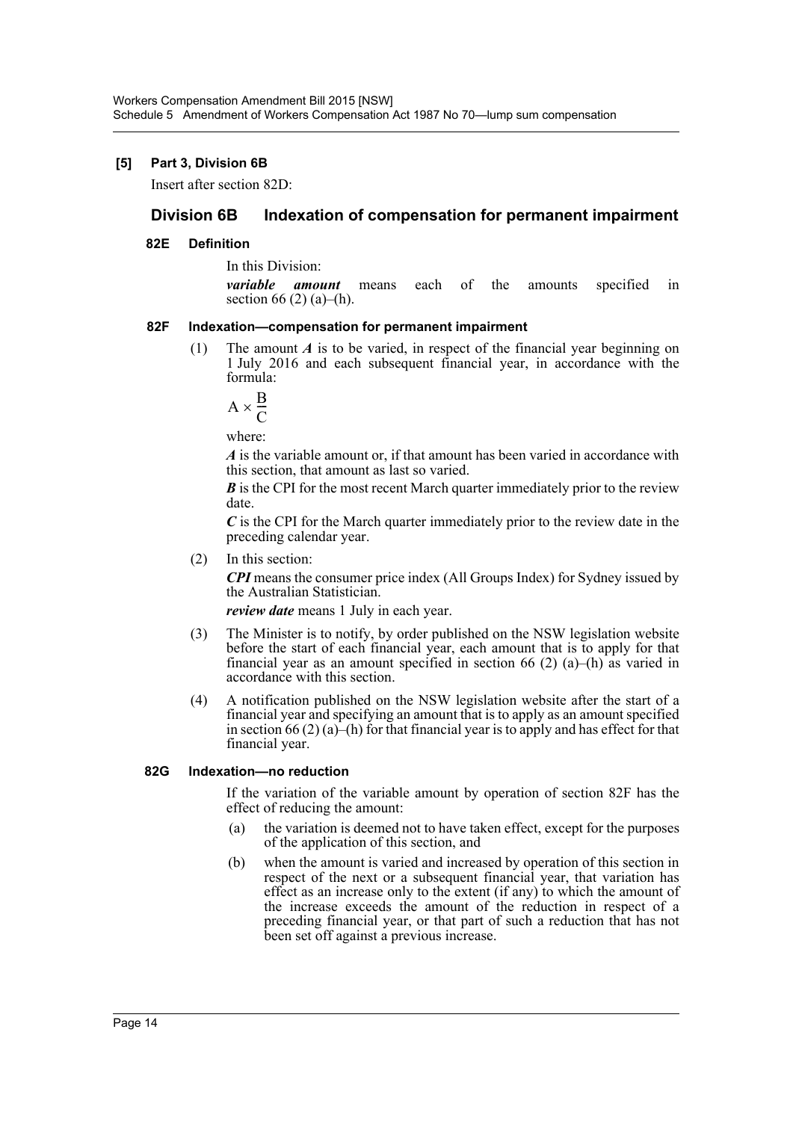#### **[5] Part 3, Division 6B**

Insert after section 82D:

# **Division 6B Indexation of compensation for permanent impairment**

#### **82E Definition**

In this Division:

*variable amount* means each of the amounts specified in section 66 (2) (a)–(h).

#### **82F Indexation—compensation for permanent impairment**

(1) The amount *A* is to be varied, in respect of the financial year beginning on 1 July 2016 and each subsequent financial year, in accordance with the formula:

$$
A \times \frac{B}{C}
$$

where:

*A* is the variable amount or, if that amount has been varied in accordance with this section, that amount as last so varied.

*B* is the CPI for the most recent March quarter immediately prior to the review date.

*C* is the CPI for the March quarter immediately prior to the review date in the preceding calendar year.

(2) In this section:

*CPI* means the consumer price index (All Groups Index) for Sydney issued by the Australian Statistician.

*review date* means 1 July in each year.

- (3) The Minister is to notify, by order published on the NSW legislation website before the start of each financial year, each amount that is to apply for that financial year as an amount specified in section 66 (2) (a)–(h) as varied in accordance with this section.
- (4) A notification published on the NSW legislation website after the start of a financial year and specifying an amount that is to apply as an amount specified in section 66 (2) (a)–(h) for that financial year is to apply and has effect for that financial year.

#### **82G Indexation—no reduction**

If the variation of the variable amount by operation of section 82F has the effect of reducing the amount:

- (a) the variation is deemed not to have taken effect, except for the purposes of the application of this section, and
- (b) when the amount is varied and increased by operation of this section in respect of the next or a subsequent financial year, that variation has effect as an increase only to the extent (if any) to which the amount of the increase exceeds the amount of the reduction in respect of a preceding financial year, or that part of such a reduction that has not been set off against a previous increase.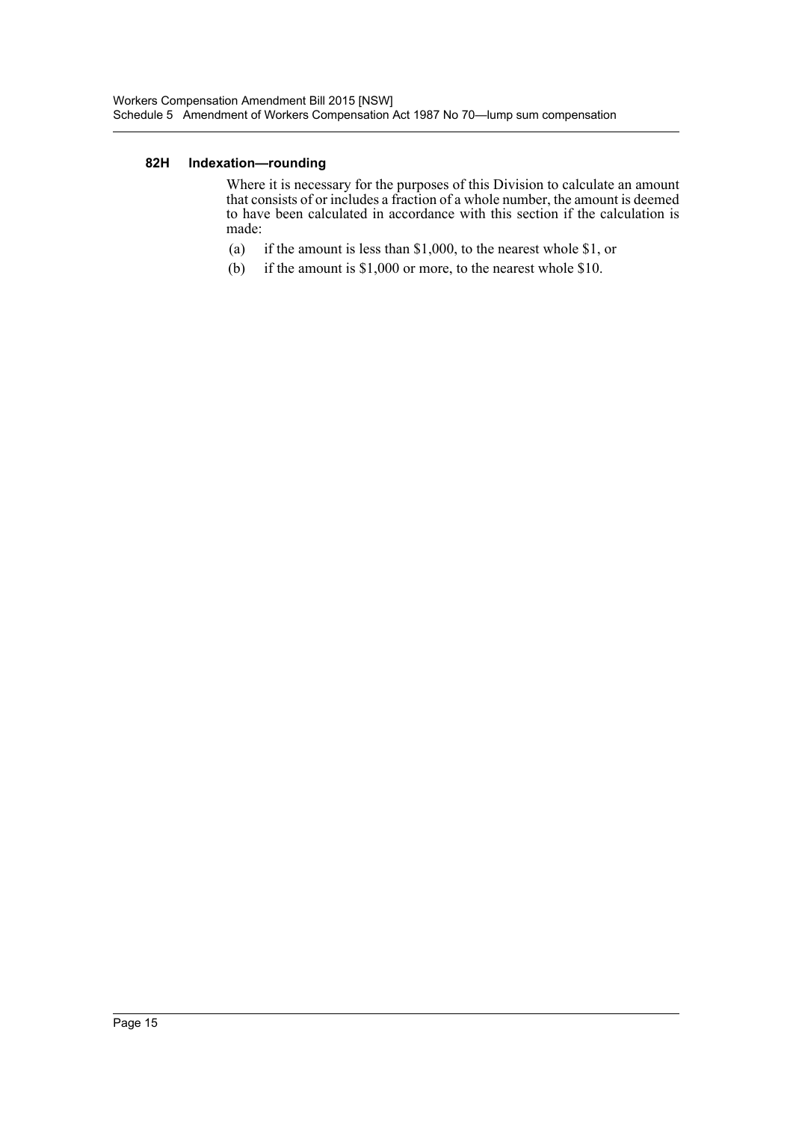#### **82H Indexation—rounding**

Where it is necessary for the purposes of this Division to calculate an amount that consists of or includes a fraction of a whole number, the amount is deemed to have been calculated in accordance with this section if the calculation is made:

- (a) if the amount is less than \$1,000, to the nearest whole \$1, or
- (b) if the amount is \$1,000 or more, to the nearest whole \$10.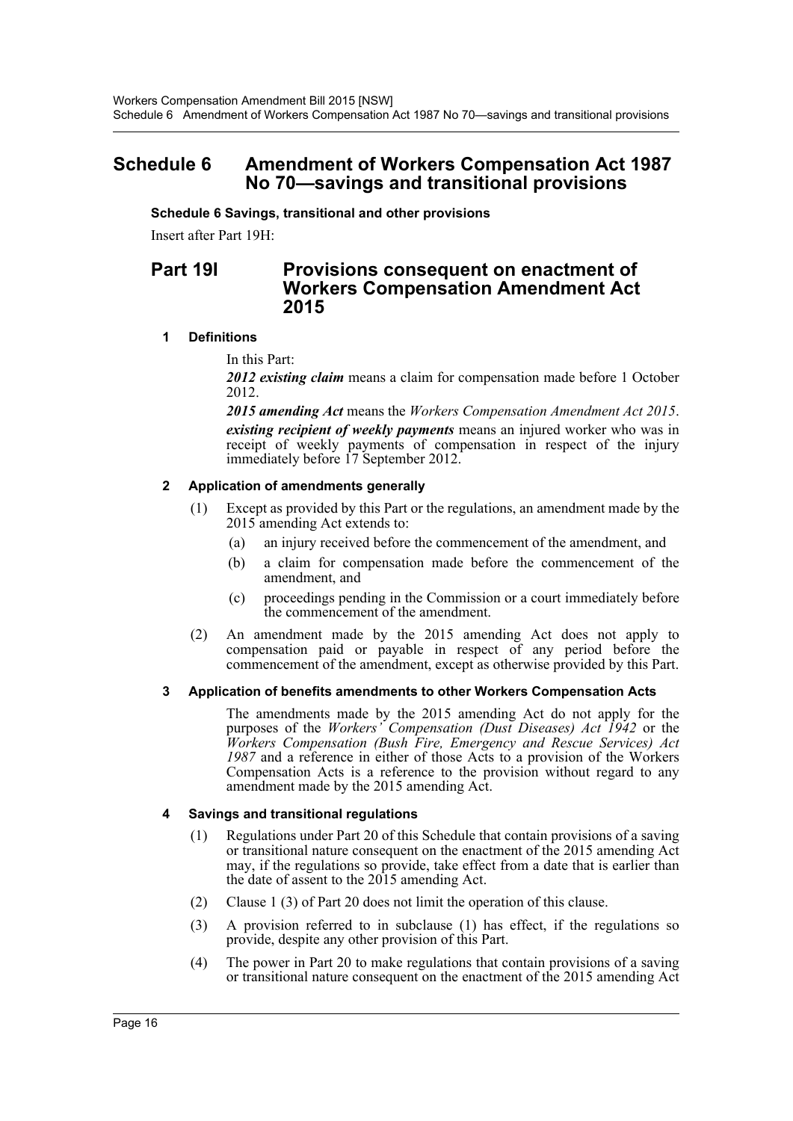# <span id="page-16-0"></span>**Schedule 6 Amendment of Workers Compensation Act 1987 No 70—savings and transitional provisions**

**Schedule 6 Savings, transitional and other provisions**

Insert after Part 19H:

# **Part 19I Provisions consequent on enactment of Workers Compensation Amendment Act 2015**

#### **1 Definitions**

In this Part:

*2012 existing claim* means a claim for compensation made before 1 October 2012.

*2015 amending Act* means the *Workers Compensation Amendment Act 2015*. *existing recipient of weekly payments* means an injured worker who was in receipt of weekly payments of compensation in respect of the injury immediately before 17 September 2012.

# **2 Application of amendments generally**

- (1) Except as provided by this Part or the regulations, an amendment made by the 2015 amending Act extends to:
	- (a) an injury received before the commencement of the amendment, and
	- (b) a claim for compensation made before the commencement of the amendment, and
	- (c) proceedings pending in the Commission or a court immediately before the commencement of the amendment.
- (2) An amendment made by the 2015 amending Act does not apply to compensation paid or payable in respect of any period before the commencement of the amendment, except as otherwise provided by this Part.

## **3 Application of benefits amendments to other Workers Compensation Acts**

The amendments made by the 2015 amending Act do not apply for the purposes of the *Workers' Compensation (Dust Diseases) Act 1942* or the *Workers Compensation (Bush Fire, Emergency and Rescue Services) Act 1987* and a reference in either of those Acts to a provision of the Workers Compensation Acts is a reference to the provision without regard to any amendment made by the 2015 amending Act.

## **4 Savings and transitional regulations**

- (1) Regulations under Part 20 of this Schedule that contain provisions of a saving or transitional nature consequent on the enactment of the 2015 amending Act may, if the regulations so provide, take effect from a date that is earlier than the date of assent to the 2015 amending Act.
- (2) Clause 1 (3) of Part 20 does not limit the operation of this clause.
- (3) A provision referred to in subclause (1) has effect, if the regulations so provide, despite any other provision of this Part.
- (4) The power in Part 20 to make regulations that contain provisions of a saving or transitional nature consequent on the enactment of the 2015 amending Act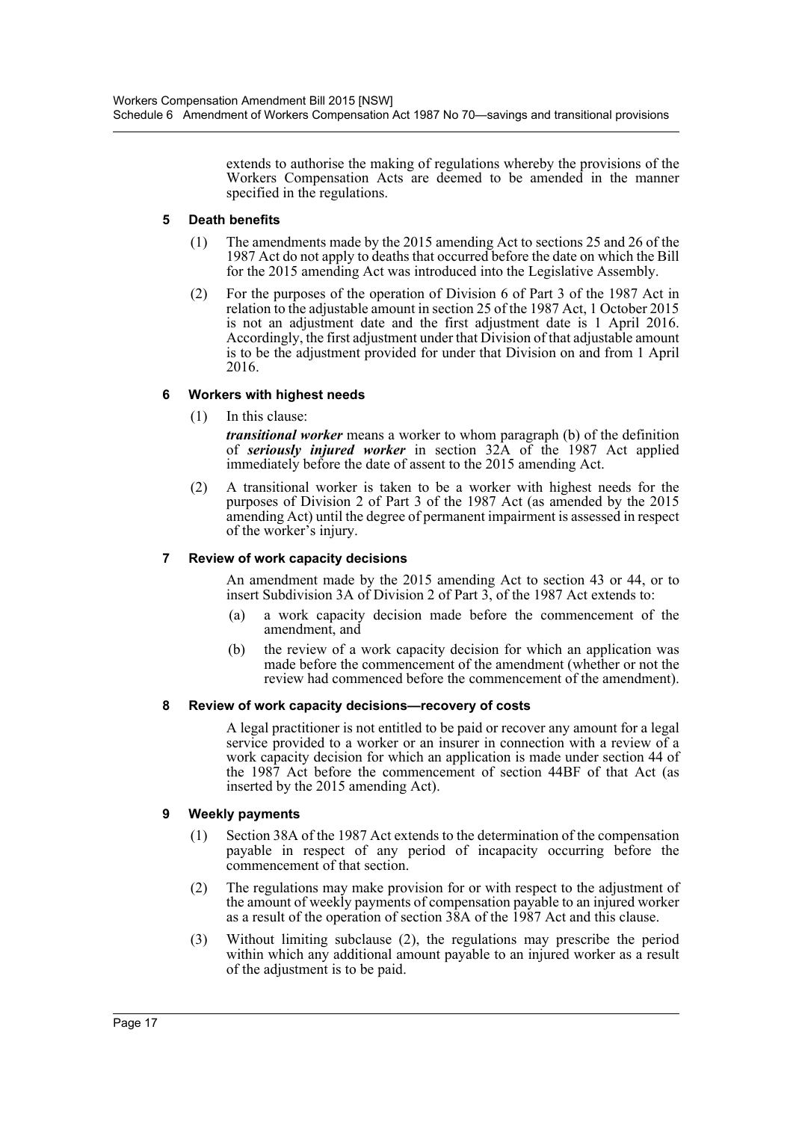extends to authorise the making of regulations whereby the provisions of the Workers Compensation Acts are deemed to be amended in the manner specified in the regulations.

### **5 Death benefits**

- (1) The amendments made by the 2015 amending Act to sections 25 and 26 of the 1987 Act do not apply to deaths that occurred before the date on which the Bill for the 2015 amending Act was introduced into the Legislative Assembly.
- (2) For the purposes of the operation of Division 6 of Part 3 of the 1987 Act in relation to the adjustable amount in section 25 of the 1987 Act, 1 October 2015 is not an adjustment date and the first adjustment date is 1 April 2016. Accordingly, the first adjustment under that Division of that adjustable amount is to be the adjustment provided for under that Division on and from 1 April 2016.

## **6 Workers with highest needs**

(1) In this clause:

*transitional worker* means a worker to whom paragraph (b) of the definition of *seriously injured worker* in section 32A of the 1987 Act applied immediately before the date of assent to the 2015 amending Act.

(2) A transitional worker is taken to be a worker with highest needs for the purposes of Division 2 of Part 3 of the 1987 Act (as amended by the 2015 amending Act) until the degree of permanent impairment is assessed in respect of the worker's injury.

## **7 Review of work capacity decisions**

An amendment made by the 2015 amending Act to section 43 or 44, or to insert Subdivision 3A of Division 2 of Part 3, of the 1987 Act extends to:

- (a) a work capacity decision made before the commencement of the amendment, and
- (b) the review of a work capacity decision for which an application was made before the commencement of the amendment (whether or not the review had commenced before the commencement of the amendment).

## **8 Review of work capacity decisions—recovery of costs**

A legal practitioner is not entitled to be paid or recover any amount for a legal service provided to a worker or an insurer in connection with a review of a work capacity decision for which an application is made under section 44 of the 1987 Act before the commencement of section 44BF of that Act (as inserted by the 2015 amending Act).

## **9 Weekly payments**

- (1) Section 38A of the 1987 Act extends to the determination of the compensation payable in respect of any period of incapacity occurring before the commencement of that section.
- (2) The regulations may make provision for or with respect to the adjustment of the amount of weekly payments of compensation payable to an injured worker as a result of the operation of section 38A of the 1987 Act and this clause.
- (3) Without limiting subclause (2), the regulations may prescribe the period within which any additional amount payable to an injured worker as a result of the adjustment is to be paid.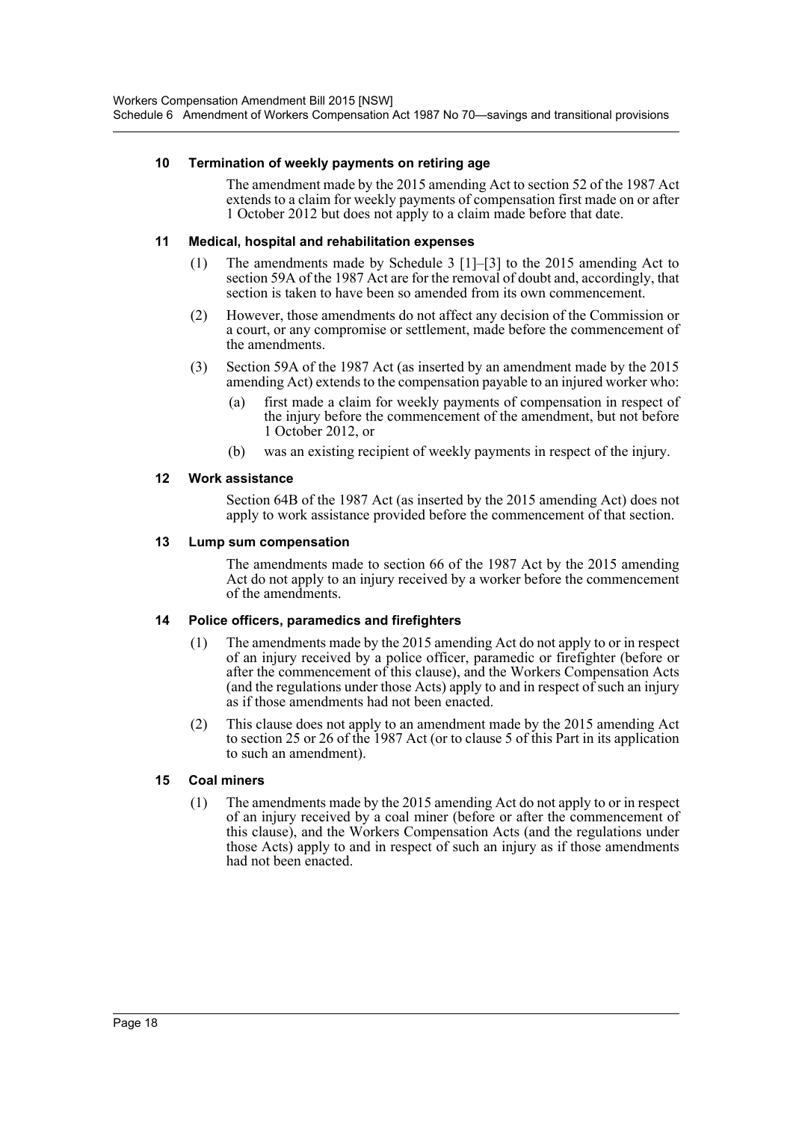#### **10 Termination of weekly payments on retiring age**

The amendment made by the 2015 amending Act to section 52 of the 1987 Act extends to a claim for weekly payments of compensation first made on or after 1 October 2012 but does not apply to a claim made before that date.

#### **11 Medical, hospital and rehabilitation expenses**

- (1) The amendments made by Schedule 3 [1]–[3] to the 2015 amending Act to section 59A of the 1987 Act are for the removal of doubt and, accordingly, that section is taken to have been so amended from its own commencement.
- (2) However, those amendments do not affect any decision of the Commission or a court, or any compromise or settlement, made before the commencement of the amendments.
- (3) Section 59A of the 1987 Act (as inserted by an amendment made by the 2015 amending Act) extends to the compensation payable to an injured worker who:
	- (a) first made a claim for weekly payments of compensation in respect of the injury before the commencement of the amendment, but not before 1 October 2012, or
	- (b) was an existing recipient of weekly payments in respect of the injury.

#### **12 Work assistance**

Section 64B of the 1987 Act (as inserted by the 2015 amending Act) does not apply to work assistance provided before the commencement of that section.

#### **13 Lump sum compensation**

The amendments made to section 66 of the 1987 Act by the 2015 amending Act do not apply to an injury received by a worker before the commencement of the amendments.

#### **14 Police officers, paramedics and firefighters**

- (1) The amendments made by the 2015 amending Act do not apply to or in respect of an injury received by a police officer, paramedic or firefighter (before or after the commencement of this clause), and the Workers Compensation Acts (and the regulations under those Acts) apply to and in respect of such an injury as if those amendments had not been enacted.
- (2) This clause does not apply to an amendment made by the 2015 amending Act to section 25 or 26 of the 1987 Act (or to clause 5 of this Part in its application to such an amendment).

## **15 Coal miners**

(1) The amendments made by the 2015 amending Act do not apply to or in respect of an injury received by a coal miner (before or after the commencement of this clause), and the Workers Compensation Acts (and the regulations under those Acts) apply to and in respect of such an injury as if those amendments had not been enacted.